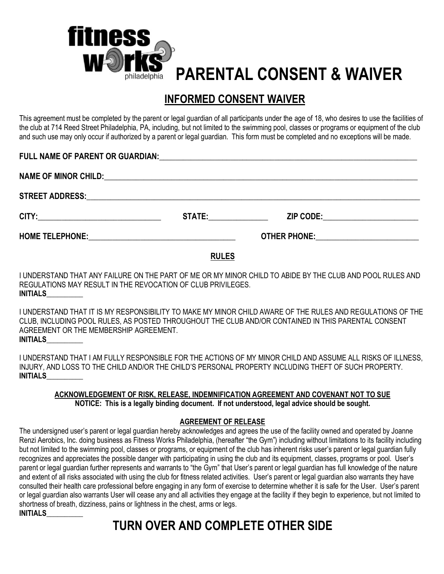

# **PARENTAL CONSENT & WAIVER**

### **INFORMED CONSENT WAIVER**

This agreement must be completed by the parent or legal guardian of all participants under the age of 18, who desires to use the facilities of the club at 714 Reed Street Philadelphia, PA, including, but not limited to the swimming pool, classes or programs or equipment of the club and such use may only occur if authorized by a parent or legal guardian. This form must be completed and no exceptions will be made.

| STATE: and the state of the state of the state of the state of the state of the state of the state of the state of the state of the state of the state of the state of the state of the state of the state of the state of the | ZIP CODE:________________________                |
|--------------------------------------------------------------------------------------------------------------------------------------------------------------------------------------------------------------------------------|--------------------------------------------------|
|                                                                                                                                                                                                                                | <b>OTHER PHONE:</b> ____________________________ |

#### **RULES**

I UNDERSTAND THAT ANY FAILURE ON THE PART OF ME OR MY MINOR CHILD TO ABIDE BY THE CLUB AND POOL RULES AND REGULATIONS MAY RESULT IN THE REVOCATION OF CLUB PRIVILEGES. **INITIALS\_\_\_\_\_\_\_\_\_\_** 

I UNDERSTAND THAT IT IS MY RESPONSIBILITY TO MAKE MY MINOR CHILD AWARE OF THE RULES AND REGULATIONS OF THE CLUB, INCLUDING POOL RULES, AS POSTED THROUGHOUT THE CLUB AND/OR CONTAINED IN THIS PARENTAL CONSENT AGREEMENT OR THE MEMBERSHIP AGREEMENT. **INITIALS\_\_\_\_\_\_\_\_\_\_** 

I UNDERSTAND THAT I AM FULLY RESPONSIBLE FOR THE ACTIONS OF MY MINOR CHILD AND ASSUME ALL RISKS OF ILLNESS, INJURY, AND LOSS TO THE CHILD AND/OR THE CHILD'S PERSONAL PROPERTY INCLUDING THEFT OF SUCH PROPERTY. **INITIALS\_\_\_\_\_\_\_\_\_\_** 

#### **ACKNOWLEDGEMENT OF RISK, RELEASE, INDEMNIFICATION AGREEMENT AND COVENANT NOT TO SUE NOTICE: This is a legally binding document. If not understood, legal advice should be sought.**

#### **AGREEMENT OF RELEASE**

The undersigned user's parent or legal guardian hereby acknowledges and agrees the use of the facility owned and operated by Joanne Renzi Aerobics, Inc. doing business as Fitness Works Philadelphia, (hereafter "the Gym") including without limitations to its facility including but not limited to the swimming pool, classes or programs, or equipment of the club has inherent risks user's parent or legal guardian fully recognizes and appreciates the possible danger with participating in using the club and its equipment, classes, programs or pool. User's parent or legal guardian further represents and warrants to "the Gym" that User's parent or legal guardian has full knowledge of the nature and extent of all risks associated with using the club for fitness related activities. User's parent or legal guardian also warrants they have consulted their health care professional before engaging in any form of exercise to determine whether it is safe for the User. User's parent or legal guardian also warrants User will cease any and all activities they engage at the facility if they begin to experience, but not limited to shortness of breath, dizziness, pains or lightness in the chest, arms or legs. **INITIALS\_\_\_\_\_\_\_\_\_\_** 

## **TURN OVER AND COMPLETE OTHER SIDE**